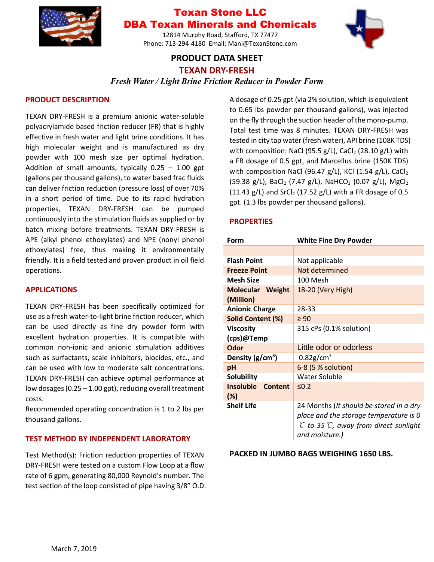

## Texan Stone LLC DBA Texan Minerals and Chemicals

12814 Murphy Road, Stafford, TX 77477 Phone: 713-294-4180 Email: Mani@TexanStone.com

## **PRODUCT DATA SHEET**



**TEXAN DRY-FRESH**

### *Fresh Water / Light Brine Friction Reducer in Powder Form*

#### **PRODUCT DESCRIPTION**

TEXAN DRY-FRESH is a premium anionic water-soluble polyacrylamide based friction reducer (FR) that is highly effective in fresh water and light brine conditions. It has high molecular weight and is manufactured as dry powder with 100 mesh size per optimal hydration. Addition of small amounts, typically  $0.25 - 1.00$  gpt (gallons per thousand gallons), to water based frac fluids can deliver friction reduction (pressure loss) of over 70% in a short period of time. Due to its rapid hydration properties, TEXAN DRY-FRESH can be pumped continuously into the stimulation fluids as supplied or by batch mixing before treatments. TEXAN DRY-FRESH is APE (alkyl phenol ethoxylates) and NPE (nonyl phenol ethoxylates) free, thus making it environmentally friendly. It is a field tested and proven product in oil field operations.

#### **APPLICATIONS**

TEXAN DRY-FRESH has been specifically optimized for use as a fresh water-to-light brine friction reducer, which can be used directly as fine dry powder form with excellent hydration properties. It is compatible with common non-ionic and anionic stimulation additives such as surfactants, scale inhibitors, biocides, etc., and can be used with low to moderate salt concentrations. TEXAN DRY-FRESH can achieve optimal performance at low dosages (0.25 – 1.00 gpt), reducing overall treatment costs.

Recommended operating concentration is 1 to 2 lbs per thousand gallons.

#### **TEST METHOD BY INDEPENDENT LABORATORY**

Test Method(s): Friction reduction properties of TEXAN DRY-FRESH were tested on a custom Flow Loop at a flow rate of 6 gpm, generating 80,000 Reynold's number. The test section of the loop consisted of pipe having 3/8" O.D.

A dosage of 0.25 gpt (via 2% solution, which is equivalent to 0.65 lbs powder per thousand gallons), was injected on the fly through the suction header of the mono-pump. Total test time was 8 minutes. TEXAN DRY-FRESH was tested in city tap water (fresh water), API brine (108K TDS) with composition: NaCl (95.5  $g/L$ ), CaCl<sub>2</sub> (28.10  $g/L$ ) with a FR dosage of 0.5 gpt, and Marcellus brine (150K TDS) with composition NaCl (96.47 g/L), KCl (1.54 g/L), CaCl $_2$ (59.38 g/L), BaCl<sub>2</sub> (7.47 g/L), NaHCO<sub>3</sub> (0.07 g/L), MgCl<sub>2</sub> (11.43 g/L) and  $SrCl<sub>2</sub>$  (17.52 g/L) with a FR dosage of 0.5 gpt. (1.3 lbs powder per thousand gallons).

#### **PROPERTIES**

| Form                                  | <b>White Fine Dry Powder</b>                                                                                                                                       |
|---------------------------------------|--------------------------------------------------------------------------------------------------------------------------------------------------------------------|
|                                       |                                                                                                                                                                    |
| <b>Flash Point</b>                    | Not applicable                                                                                                                                                     |
| <b>Freeze Point</b>                   | Not determined                                                                                                                                                     |
| <b>Mesh Size</b>                      | 100 Mesh                                                                                                                                                           |
| <b>Molecular Weight</b>               | 18-20 (Very High)                                                                                                                                                  |
| (Million)                             |                                                                                                                                                                    |
| <b>Anionic Charge</b>                 | 28-33                                                                                                                                                              |
| Solid Content (%)                     | $\geq 90$                                                                                                                                                          |
| <b>Viscosity</b>                      | 315 cPs (0.1% solution)                                                                                                                                            |
| (cps)@Temp                            |                                                                                                                                                                    |
| <b>Odor</b>                           | Little odor or odorless                                                                                                                                            |
| Density $(g/cm^3)$                    | $0.82$ g/cm <sup>3</sup>                                                                                                                                           |
| pH                                    | 6-8 (5 % solution)                                                                                                                                                 |
| <b>Solubility</b>                     | Water Soluble                                                                                                                                                      |
| <b>Insoluble</b><br>Content<br>$(\%)$ | $\leq 0.2$                                                                                                                                                         |
| <b>Shelf Life</b>                     | 24 Months (It should be stored in a dry<br>place and the storage temperature is 0<br>$\mathcal C$ to 35 $\mathcal C$ , away from direct sunlight<br>and moisture.) |

#### **PACKED IN JUMBO BAGS WEIGHING 1650 LBS.**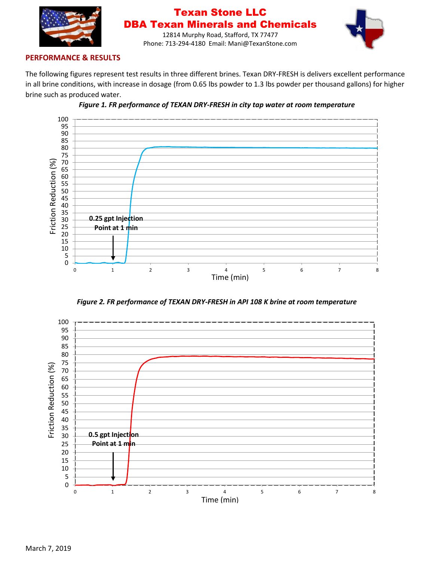

## Texan Stone LLC DBA Texan Minerals and Chemicals



12814 Murphy Road, Stafford, TX 77477 Phone: 713-294-4180 Email: Mani@TexanStone.com

#### **PERFORMANCE & RESULTS**

The following figures represent test results in three different brines. Texan DRY-FRESH is delivers excellent performance in all brine conditions, with increase in dosage (from 0.65 lbs powder to 1.3 lbs powder per thousand gallons) for higher brine such as produced water.





*Figure 2. FR performance of TEXAN DRY-FRESH in API 108 K brine at room temperature*